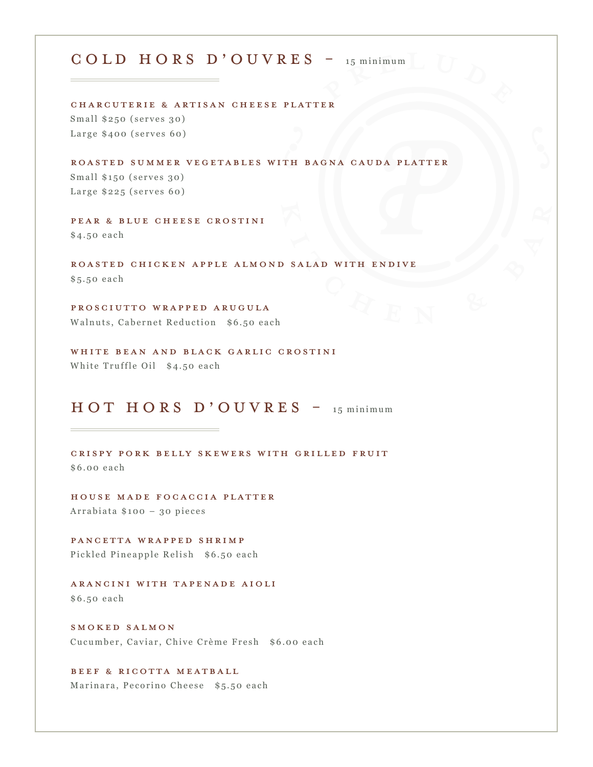### cold hors d'ouvres - 15 minimum

Charcuterie & Artisan Cheese Platter Small \$250 (serves 30) Large \$400 (serves 60)

Roasted summer Vegetables with Bagna Cauda Platter Small \$150 (serves 30) Large \$225 (serves 60)

Pear & blue cheese crostini \$4.50 each

Roasted Chicken Apple Almond Salad with Endive \$5.50 each

Prosciutto wrapped arugula Walnuts, Cabernet Reduction \$6.50 each

WHITE BEAN AND BLACK GARLIC CROSTINI White Truffle Oil \$4.50 each

## HOT HORS D'OUVRES - 15 minimum

Crispy Pork Belly Skewers With Grilled Fruit \$6.00 each

House made Focaccia Platter Arrabiata \$100 – 30 pieces

PANCETTA WRAPPED SHRIMP Pickled Pineapple Relish \$6.50 each

Arancini with Tapenade Aioli \$6.50 each

Smoked Salmon Cucumber, Caviar, Chive Crème Fresh \$6.00 each

Beef & Ricotta Meatball Marinara, Pecorino Cheese \$5.50 each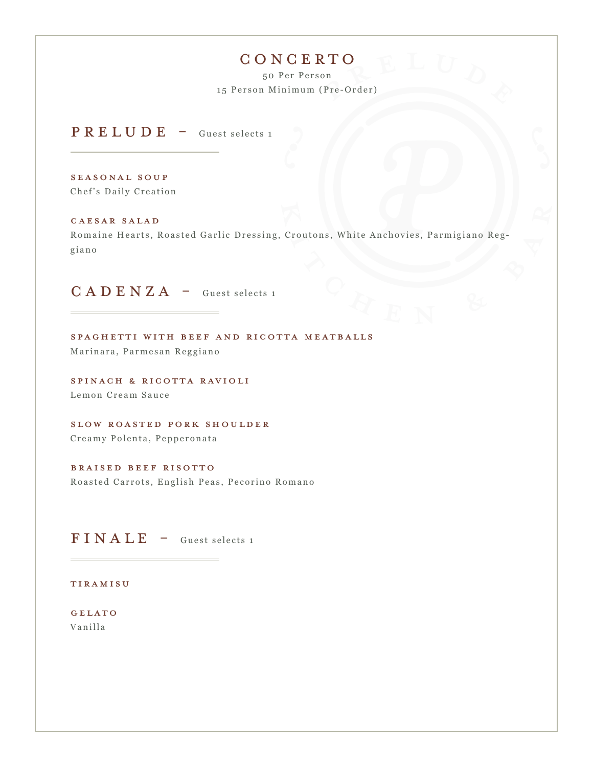# **CONCERTO**

50 Per Person 15 Person Minimum (Pre-Order)

PRELUDE - Guest selects 1

Seasonal Soup Chef's Daily Creation

Caesar Salad Romaine Hearts, Roasted Garlic Dressing, Croutons, White Anchovies, Parmigiano Reg giano

# $C A D E N Z A -$  Guest selects 1

Spaghetti with Beef and ricotta meatballs Marinara, Parmesan Reggiano

Spinach & Ricotta Ravioli Lemon Cream Sauce

Slow roasted pork shoulder Creamy Polenta, Pepperonata

Braised Beef Risotto Roasted Carrots, English Peas, Pecorino Romano

 **- Guest selects 1** 

Tiramisu

GELATO Vanilla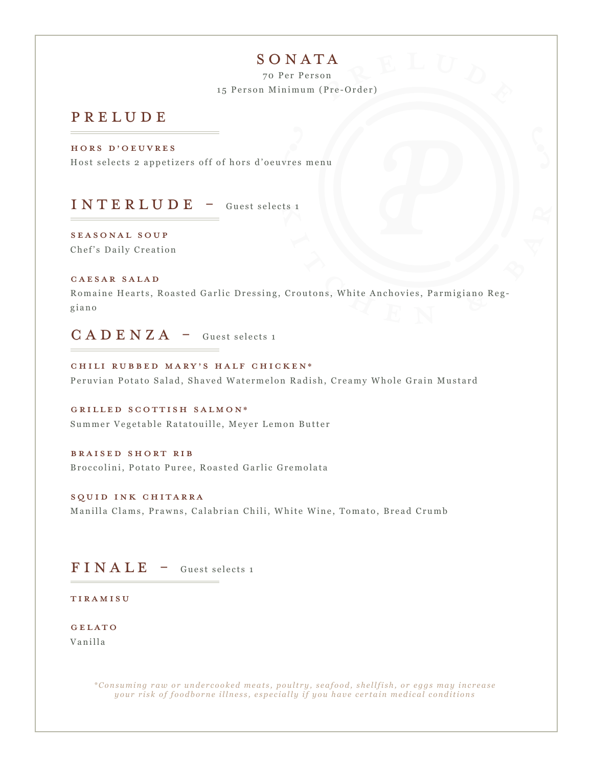# SONATA

70 Per Person 15 Person Minimum (Pre-Order)

#### prelude

Hors D'oeuvres

Host selects 2 appetizers off of hors d'oeuvres menu

 $INTERLUDE - Guest selects i$ 

Seasonal Soup Chef's Daily Creation

#### Caesar Salad

Romaine Hearts, Roasted Garlic Dressing, Croutons, White Anchovies, Parmigiano Reg giano

 $C A D E N Z A -$  Guest selects 1

CHILI RUBBED MARY'S HALF CHICKEN\* Peruvian Potato Salad, Shaved Watermelon Radish, Creamy Whole Grain Mustard

Grilled Scottish Salmon\* Summer Vegetable Ratatouille, Meyer Lemon Butter

Braised Short Rib Broccolini, Potato Puree, Roasted Garlic Gremolata

Squid Ink Chitarra Manilla Clams, Prawns, Calabrian Chili, White Wine, Tomato, Bread Crumb

### **– Guest selects 1**

**TIRAMISU** 

GELATO Vanilla

> *\* C o n s u m i n g r a w o r u n d e r c o o k e d m e a t s , p o u l t r y , s e a f o o d , s h e l l f i s h , o r e g g s m a y i n c r e a s e your risk of foodborne illness, especially if you have certain medical conditions*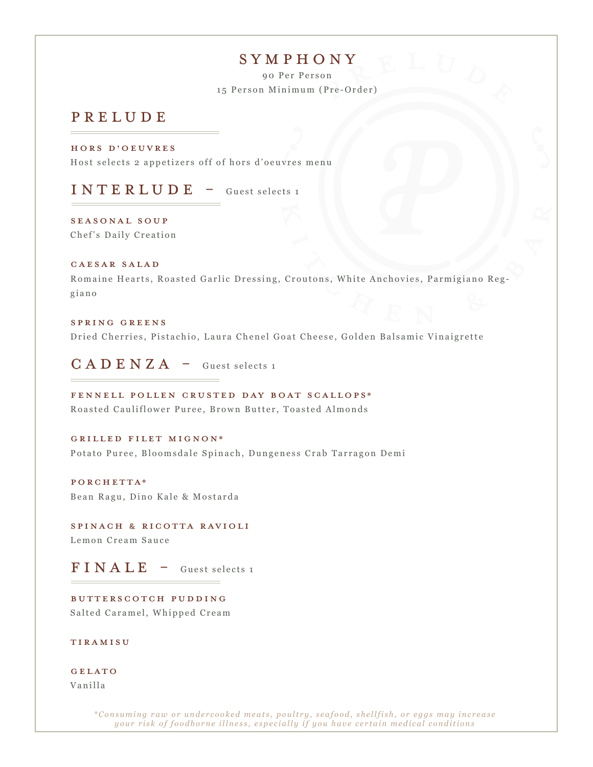#### symphony

90 Per Person 15 Person Minimum (Pre-Order)

#### prelude

Hors D'oeuvres Host selects 2 appetizers off of hors d'oeuvres menu

 $INTERLUDE - Guest selects 1$ 

Seasonal Soup Chef's Daily Creation

#### Caesar Salad

Romaine Hearts, Roasted Garlic Dressing, Croutons, White Anchovies, Parmigiano Reg giano

#### Spring Greens Dried Cherries, Pistachio, Laura Chenel Goat Cheese, Golden Balsamic Vinaigrette

 $C A D E N Z A -$  Guest selects 1

Fennell Pollen Crusted Day Boat Scallops\* Roasted Cauliflower Puree, Brown Butter, Toasted Almonds

Grilled Filet Mignon\* Potato Puree, Bloomsdale Spinach, Dungeness Crab Tarragon Demi

porchetta\* Bean Ragu, Dino Kale & Mostarda

Spinach & Ricotta Ravioli Lemon Cream Sauce

 **– Guest selects 1** 

Butterscotch pudding Salted Caramel, Whipped Cream

**TIRAMISU** 

GELATO Vanilla

> *\* C o n s u m i n g r a w o r u n d e r c o o k e d m e a t s , p o u l t r y , s e a f o o d , s h e l l f i s h , o r e g g s m a y i n c r e a s e your risk of foodborne illness, especially if you have certain medical conditions*